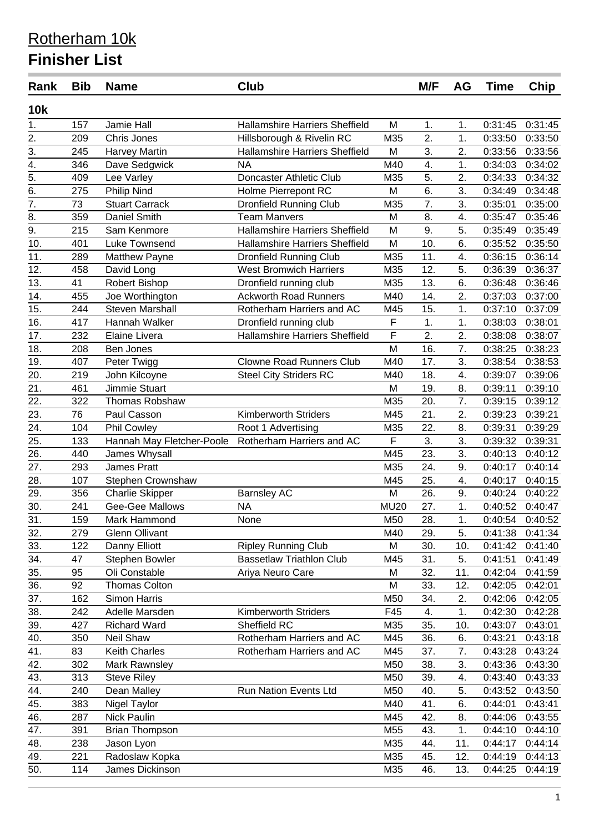| Rank              | <b>Bib</b> | <b>Name</b>               | <b>Club</b>                                                   |                         | M/F | <b>AG</b> | <b>Time</b> | Chip                       |
|-------------------|------------|---------------------------|---------------------------------------------------------------|-------------------------|-----|-----------|-------------|----------------------------|
| <b>10k</b>        |            |                           |                                                               |                         |     |           |             |                            |
| 1.                | 157        | Jamie Hall                | <b>Hallamshire Harriers Sheffield</b>                         | M                       | 1.  | 1.        | 0:31:45     | 0:31:45                    |
| 2.                | 209        | Chris Jones               | Hillsborough & Rivelin RC                                     | M35                     | 2.  | 1.        | 0:33:50     | 0:33:50                    |
| 3.                | 245        | <b>Harvey Martin</b>      | <b>Hallamshire Harriers Sheffield</b>                         | M                       | 3.  | 2.        | 0:33:56     | 0:33:56                    |
| $\overline{4}$ .  | 346        | Dave Sedgwick             | <b>NA</b>                                                     | M40                     | 4.  | 1.        | 0:34:03     | 0:34:02                    |
| $\overline{5}$ .  | 409        | Lee Varley                | Doncaster Athletic Club                                       | M35                     | 5.  | 2.        | 0:34:33     | 0:34:32                    |
| $\overline{6}$ .  | 275        | <b>Philip Nind</b>        | <b>Holme Pierrepont RC</b>                                    | M                       | 6.  | 3.        | 0:34:49     | 0:34:48                    |
| 7.                | 73         | <b>Stuart Carrack</b>     | Dronfield Running Club                                        | M35                     | 7.  | 3.        | 0:35:01     | 0:35:00                    |
| 8.                | 359        | <b>Daniel Smith</b>       | <b>Team Manvers</b>                                           | M                       | 8.  | 4.        | 0:35:47     | 0:35:46                    |
| $\overline{9}$ .  | 215        | Sam Kenmore               | <b>Hallamshire Harriers Sheffield</b>                         | M                       | 9.  | 5.        | 0:35:49     | 0:35:49                    |
| 10.               | 401        | Luke Townsend             | <b>Hallamshire Harriers Sheffield</b>                         | M                       | 10. | 6.        | 0:35:52     | 0:35:50                    |
| 11.               | 289        | <b>Matthew Payne</b>      | <b>Dronfield Running Club</b>                                 | M35                     | 11. | 4.        | 0:36:15     | 0:36:14                    |
| 12.               | 458        | David Long                | <b>West Bromwich Harriers</b>                                 | M35                     | 12. | 5.        | 0:36:39     | 0:36:37                    |
| 13.               | 41         | Robert Bishop             | Dronfield running club                                        | M35                     | 13. | 6.        | 0:36:48     | 0:36:46                    |
| 14.               | 455        | Joe Worthington           | <b>Ackworth Road Runners</b>                                  | M40                     | 14. | 2.        | 0:37:03     | 0:37:00                    |
| 15.               | 244        | <b>Steven Marshall</b>    | Rotherham Harriers and AC                                     | M45                     | 15. | 1.        | 0:37:10     | 0:37:09                    |
| 16.               | 417        | Hannah Walker             | Dronfield running club                                        | F                       | 1.  | 1.        | 0:38:03     | 0:38:01                    |
| 17.               | 232        | Elaine Livera             | <b>Hallamshire Harriers Sheffield</b>                         | F                       | 2.  | 2.        | 0:38:08     | 0:38:07                    |
| 18.               | 208        | Ben Jones                 |                                                               | M                       | 16. | 7.        | 0:38:25     | 0:38:23                    |
| 19.               | 407        | Peter Twigg               | <b>Clowne Road Runners Club</b>                               | M40                     | 17. | 3.        | 0:38:54     | 0:38:53                    |
| 20.               | 219        | John Kilcoyne             | <b>Steel City Striders RC</b>                                 | M40                     | 18. | 4.        | 0:39:07     | 0:39:06                    |
| 21.               | 461        | Jimmie Stuart             |                                                               | M                       | 19. | 8.        | 0:39:11     | 0:39:10                    |
| 22.               | 322        | Thomas Robshaw            |                                                               | M35                     | 20. | 7.        | 0:39:15     | 0:39:12                    |
| 23.               | 76         | Paul Casson               | <b>Kimberworth Striders</b>                                   | M45                     | 21. | 2.        | 0:39:23     | 0:39:21                    |
| 24.               | 104        | <b>Phil Cowley</b>        | Root 1 Advertising                                            | M35                     | 22. | 8.        | 0:39:31     | 0:39:29                    |
| 25.               | 133        | Hannah May Fletcher-Poole | Rotherham Harriers and AC                                     | $\overline{\mathsf{F}}$ | 3.  | 3.        | 0:39:32     | 0:39:31                    |
| 26.               | 440        | James Whysall             |                                                               | M45                     | 23. | 3.        | 0:40:13     | 0:40:12                    |
| 27.               | 293        | James Pratt               |                                                               | M35                     | 24. | 9.        | 0:40:17     | 0:40:14                    |
| 28.               | 107        | Stephen Crownshaw         |                                                               | M45                     | 25. | 4.        | 0:40:17     | 0:40:15                    |
| 29.               | 356        | <b>Charlie Skipper</b>    |                                                               | M                       | 26. | 9.        | 0:40:24     | 0:40:22                    |
| 30.               | 241        | Gee-Gee Mallows           | <b>Barnsley AC</b><br><b>NA</b>                               | <b>MU20</b>             | 27. | 1.        | 0:40:52     | 0:40:47                    |
| 31.               |            |                           |                                                               | M50                     | 28. |           |             | 0:40:54 0:40:52            |
| 32.               | 159<br>279 | Mark Hammond              | None                                                          | M40                     | 29. | 1.<br>5.  |             |                            |
|                   | 122        | <b>Glenn Ollivant</b>     |                                                               |                         |     |           |             | 0:41:38 0:41:34<br>0:41:40 |
| 33.<br>34.        |            | Danny Elliott             | <b>Ripley Running Club</b><br><b>Bassetlaw Triathlon Club</b> | M                       | 30. | 10.       | 0:41:42     |                            |
|                   | 47         | Stephen Bowler            |                                                               | M45                     | 31. | 5.        | 0:41:51     | 0:41:49                    |
| 35.               | 95         | Oli Constable             | Ariya Neuro Care                                              | M                       | 32. | 11.       | 0:42:04     | 0:41:59                    |
| 36.               | 92         | Thomas Colton             |                                                               | M                       | 33. | 12.       | 0:42:05     | 0:42:01                    |
| 37.               | 162        | Simon Harris              |                                                               | M50                     | 34. | 2.        | 0:42:06     | 0:42:05                    |
| $\overline{38}$ . | 242        | Adelle Marsden            | <b>Kimberworth Striders</b>                                   | F45                     | 4.  | 1.        | 0:42:30     | 0:42:28                    |
| 39.               | 427        | <b>Richard Ward</b>       | Sheffield RC                                                  | M35                     | 35. | 10.       | 0:43:07     | 0:43:01                    |
| 40.               | 350        | Neil Shaw                 | Rotherham Harriers and AC                                     | M45                     | 36. | 6.        | 0:43:21     | 0:43:18                    |
| 41.               | 83         | Keith Charles             | Rotherham Harriers and AC                                     | M45                     | 37. | 7.        | 0:43:28     | 0:43:24                    |
| 42.               | 302        | Mark Rawnsley             |                                                               | M50                     | 38. | 3.        | 0:43:36     | 0:43:30                    |
| 43.               | 313        | <b>Steve Riley</b>        |                                                               | M50                     | 39. | 4.        | 0:43:40     | 0:43:33                    |
| 44.               | 240        | Dean Malley               | Run Nation Events Ltd                                         | M50                     | 40. | 5.        | 0:43:52     | 0:43:50                    |
| 45.               | 383        | Nigel Taylor              |                                                               | M40                     | 41. | 6.        | 0:44:01     | 0:43:41                    |
| 46.               | 287        | Nick Paulin               |                                                               | M45                     | 42. | 8.        | 0:44:06     | 0:43:55                    |
| 47.               | 391        | <b>Brian Thompson</b>     |                                                               | M55                     | 43. | 1.        | 0:44:10     | 0:44:10                    |
| 48.               | 238        | Jason Lyon                |                                                               | M35                     | 44. | 11.       | 0.44:17     | 0:44:14                    |
| 49.               | 221        | Radoslaw Kopka            |                                                               | M35                     | 45. | 12.       | 0:44:19     | 0:44:13                    |
| 50.               | 114        | James Dickinson           |                                                               | M35                     | 46. | 13.       | 0:44:25     | 0:44:19                    |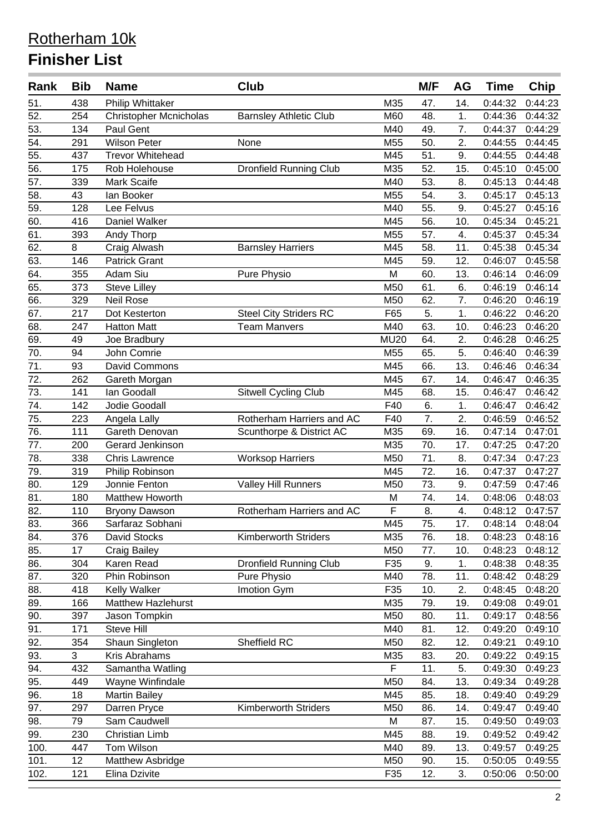| Rank              | <b>Bib</b> | <b>Name</b>                   | Club                          |                | M/F | AG  | <b>Time</b> | Chip    |
|-------------------|------------|-------------------------------|-------------------------------|----------------|-----|-----|-------------|---------|
| 51.               | 438        | Philip Whittaker              |                               | M35            | 47. | 14. | 0:44:32     | 0:44:23 |
| 52.               | 254        | <b>Christopher Mcnicholas</b> | <b>Barnsley Athletic Club</b> | M60            | 48. | 1.  | 0:44:36     | 0:44:32 |
| 53.               | 134        | Paul Gent                     |                               | M40            | 49. | 7.  | 0:44:37     | 0:44:29 |
| 54.               | 291        | <b>Wilson Peter</b>           | None                          | M55            | 50. | 2.  | 0:44:55     | 0:44:45 |
| 55.               | 437        | <b>Trevor Whitehead</b>       |                               | M45            | 51. | 9.  | 0:44:55     | 0:44:48 |
| 56.               | 175        | Rob Holehouse                 | <b>Dronfield Running Club</b> | M35            | 52. | 15. | 0:45:10     | 0:45:00 |
| 57.               | 339        | Mark Scaife                   |                               | M40            | 53. | 8.  | 0:45:13     | 0:44:48 |
| $\overline{58}$ . | 43         | lan Booker                    |                               | M55            | 54. | 3.  | 0:45:17     | 0:45:13 |
| 59.               | 128        | Lee Felvus                    |                               | M40            | 55. | 9.  | 0:45:27     | 0:45:16 |
| 60.               | 416        | Daniel Walker                 |                               | M45            | 56. | 10. | 0:45:34     | 0:45:21 |
| 61.               | 393        | Andy Thorp                    |                               | M55            | 57. | 4.  | 0:45:37     | 0:45:34 |
| 62.               | $\, 8$     | Craig Alwash                  | <b>Barnsley Harriers</b>      | M45            | 58. | 11. | 0:45:38     | 0:45:34 |
| 63.               | 146        | <b>Patrick Grant</b>          |                               | M45            | 59. | 12. | 0:46:07     | 0:45:58 |
| 64.               | 355        | Adam Siu                      | Pure Physio                   | M              | 60. | 13. | 0:46:14     | 0:46:09 |
| 65.               | 373        | <b>Steve Lilley</b>           |                               | M50            | 61. | 6.  | 0:46:19     | 0:46:14 |
| 66.               | 329        | <b>Neil Rose</b>              |                               | M50            | 62. | 7.  | 0:46:20     | 0:46:19 |
| 67.               | 217        | Dot Kesterton                 | <b>Steel City Striders RC</b> | F65            | 5.  | 1.  | 0:46:22     | 0:46:20 |
| 68.               | 247        | <b>Hatton Matt</b>            | <b>Team Manvers</b>           | M40            | 63. | 10. | 0:46:23     | 0:46:20 |
| 69.               | 49         | Joe Bradbury                  |                               | <b>MU20</b>    | 64. | 2.  | 0:46:28     | 0:46:25 |
| 70.               | 94         | John Comrie                   |                               | M55            | 65. | 5.  | 0:46:40     | 0:46:39 |
| 71.               | 93         | David Commons                 |                               | M45            | 66. | 13. | 0:46:46     | 0:46:34 |
| 72.               | 262        | Gareth Morgan                 |                               | M45            | 67. | 14. | 0:46:47     | 0:46:35 |
| 73.               | 141        | Ian Goodall                   | <b>Sitwell Cycling Club</b>   | M45            | 68. | 15. | 0:46:47     | 0:46:42 |
| 74.               | 142        | Jodie Goodall                 |                               | F40            | 6.  | 1.  | 0:46:47     | 0:46:42 |
| 75.               | 223        | Angela Lally                  | Rotherham Harriers and AC     | F40            | 7.  | 2.  | 0:46:59     | 0:46:52 |
| 76.               | 111        | Gareth Denovan                | Scunthorpe & District AC      | M35            | 69. | 16. | 0:47:14     | 0:47:01 |
| 77.               | 200        | Gerard Jenkinson              |                               | M35            | 70. | 17. | 0:47:25     | 0:47:20 |
| 78.               | 338        | <b>Chris Lawrence</b>         | <b>Worksop Harriers</b>       | M50            | 71. | 8.  | 0:47:34     | 0:47:23 |
| 79.               | 319        | Philip Robinson               |                               | M45            | 72. | 16. | 0:47:37     | 0:47:27 |
| 80.               | 129        | Jonnie Fenton                 | <b>Valley Hill Runners</b>    | M50            | 73. | 9.  | 0:47:59     | 0:47:46 |
| 81.               | 180        | Matthew Howorth               |                               | M              | 74. | 14. | 0:48:06     | 0:48:03 |
| 82.               | 110        | <b>Bryony Dawson</b>          | Rotherham Harriers and AC     | F              | 8.  | 4.  | 0:48:12     | 0:47:57 |
| 83.               | 366        | Sarfaraz Sobhani              |                               | M45            | 75. | 17. | 0:48:14     | 0:48:04 |
| 84.               | 376        | David Stocks                  | <b>Kimberworth Striders</b>   | M35            | 76. | 18. | 0:48:23     | 0:48:16 |
| 85.               | 17         | <b>Craig Bailey</b>           |                               | M50            | 77. | 10. | 0:48:23     | 0:48:12 |
| 86.               | 304        | Karen Read                    | <b>Dronfield Running Club</b> | F35            | 9.  | 1.  | 0:48:38     | 0:48:35 |
| 87.               | 320        | Phin Robinson                 | Pure Physio                   | M40            | 78. | 11. | 0:48:42     | 0:48:29 |
| 88.               | 418        | Kelly Walker                  | Imotion Gym                   | F35            | 10. | 2.  | 0:48:45     | 0:48:20 |
| 89.               | 166        | Matthew Hazlehurst            |                               | M35            | 79. | 19. | 0:49:08     | 0:49:01 |
| 90.               | 397        | Jason Tompkin                 |                               | M50            | 80. | 11. | 0:49:17     | 0:48:56 |
| 91.               | 171        | <b>Steve Hill</b>             |                               | M40            | 81. | 12. | 0:49:20     | 0:49:10 |
| 92.               | 354        | Shaun Singleton               | Sheffield RC                  | M50            | 82. | 12. | 0:49:21     | 0:49:10 |
| 93.               | 3          | Kris Abrahams                 |                               | M35            | 83. | 20. | 0:49:22     | 0:49:15 |
| 94.               | 432        | Samantha Watling              |                               | $\overline{F}$ | 11. | 5.  | 0:49:30     | 0:49:23 |
| 95.               | 449        | Wayne Winfindale              |                               | M50            | 84. | 13. | 0:49:34     | 0:49:28 |
| 96.               | 18         | <b>Martin Bailey</b>          |                               | M45            | 85. | 18. | 0:49:40     | 0:49:29 |
| 97.               | 297        | Darren Pryce                  | <b>Kimberworth Striders</b>   | M50            | 86. | 14. | 0:49:47     | 0:49:40 |
| 98.               | 79         | Sam Caudwell                  |                               | M              | 87. | 15. | 0:49:50     | 0:49:03 |
| 99.               | 230        | Christian Limb                |                               | M45            | 88. | 19. | 0:49:52     | 0:49:42 |
| 100.              | 447        | Tom Wilson                    |                               | M40            | 89. | 13. | 0:49:57     | 0:49:25 |
| 101.              | 12         | Matthew Asbridge              |                               | M50            | 90. | 15. | 0:50:05     | 0:49:55 |
| 102.              | 121        | Elina Dzivite                 |                               | F35            | 12. | 3.  | 0:50:06     | 0:50:00 |
|                   |            |                               |                               |                |     |     |             |         |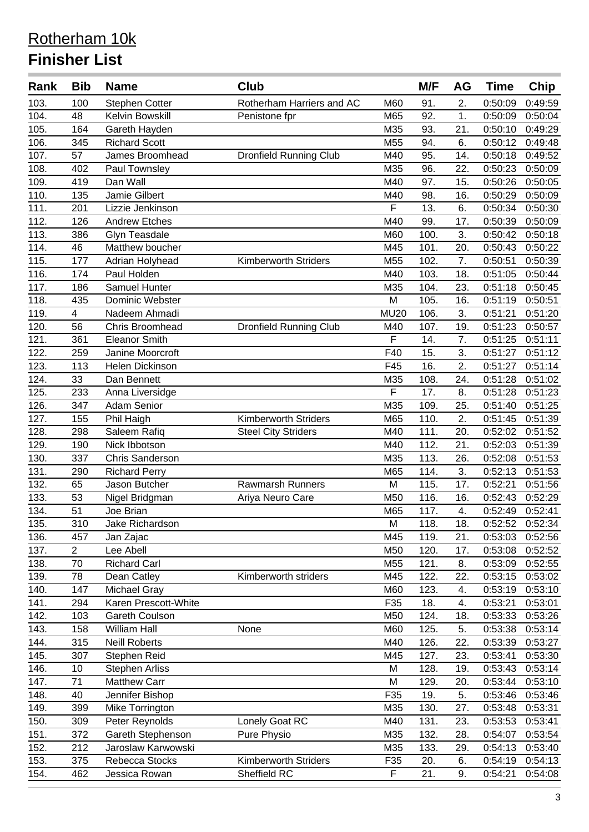| Rank | <b>Bib</b>              | <b>Name</b>            | <b>Club</b>                   |                         | M/F  | AG  | <b>Time</b> | Chip            |
|------|-------------------------|------------------------|-------------------------------|-------------------------|------|-----|-------------|-----------------|
| 103. | 100                     | <b>Stephen Cotter</b>  | Rotherham Harriers and AC     | M60                     | 91.  | 2.  | 0:50:09     | 0:49:59         |
| 104. | 48                      | Kelvin Bowskill        | Penistone fpr                 | M65                     | 92.  | 1.  | 0:50:09     | 0:50:04         |
| 105. | 164                     | Gareth Hayden          |                               | M35                     | 93.  | 21. | 0:50:10     | 0:49:29         |
| 106. | 345                     | <b>Richard Scott</b>   |                               | M55                     | 94.  | 6.  | 0:50:12     | 0:49:48         |
| 107. | 57                      | James Broomhead        | <b>Dronfield Running Club</b> | M40                     | 95.  | 14. | 0:50:18     | 0:49:52         |
| 108. | 402                     | Paul Townsley          |                               | M35                     | 96.  | 22. | 0:50:23     | 0:50:09         |
| 109. | 419                     | Dan Wall               |                               | M40                     | 97.  | 15. | 0:50:26     | 0:50:05         |
| 110. | 135                     | Jamie Gilbert          |                               | M40                     | 98.  | 16. | 0:50:29     | 0:50:09         |
| 111. | 201                     | Lizzie Jenkinson       |                               | F                       | 13.  | 6.  | 0:50:34     | 0:50:30         |
| 112. | 126                     | <b>Andrew Etches</b>   |                               | M40                     | 99.  | 17. | 0:50:39     | 0:50:09         |
| 113. | 386                     | Glyn Teasdale          |                               | M60                     | 100. | 3.  | 0:50:42     | 0:50:18         |
| 114. | 46                      | Matthew boucher        |                               | M45                     | 101. | 20. | 0:50:43     | 0:50:22         |
| 115. | 177                     | Adrian Holyhead        | <b>Kimberworth Striders</b>   | M55                     | 102. | 7.  | 0:50:51     | 0:50:39         |
| 116. | 174                     | Paul Holden            |                               | M40                     | 103. | 18. | 0:51:05     | 0:50:44         |
| 117. | 186                     | Samuel Hunter          |                               | M35                     | 104. | 23. | 0:51:18     | 0:50:45         |
| 118. | 435                     | Dominic Webster        |                               | M                       | 105. | 16. | 0:51:19     | 0:50:51         |
| 119. | $\overline{\mathbf{4}}$ | Nadeem Ahmadi          |                               | <b>MU20</b>             | 106. | 3.  | 0:51:21     | 0:51:20         |
| 120. | 56                      | Chris Broomhead        | <b>Dronfield Running Club</b> | M40                     | 107. | 19. | 0:51:23     | 0:50:57         |
| 121. | 361                     | <b>Eleanor Smith</b>   |                               | F                       | 14.  | 7.  | 0:51:25     | 0:51:11         |
| 122. | 259                     | Janine Moorcroft       |                               | F40                     | 15.  | 3.  | 0:51:27     | 0:51:12         |
| 123. | 113                     | Helen Dickinson        |                               | F45                     | 16.  | 2.  | 0:51:27     | 0:51:14         |
| 124. | 33                      | Dan Bennett            |                               | M35                     | 108. | 24. | 0:51:28     | 0:51:02         |
| 125. | 233                     | Anna Liversidge        |                               | F                       | 17.  | 8.  | 0:51:28     | 0:51:23         |
| 126. | 347                     | <b>Adam Senior</b>     |                               | M35                     | 109. | 25. | 0:51:40     | 0:51:25         |
| 127. | 155                     | Phil Haigh             | <b>Kimberworth Striders</b>   | M65                     | 110. | 2.  | 0:51:45     | 0:51:39         |
| 128. | 298                     | Saleem Rafiq           | <b>Steel City Striders</b>    | M40                     | 111. | 20. | 0:52:02     | 0:51:52         |
| 129. | 190                     | Nick Ibbotson          |                               | M40                     | 112. | 21. | 0:52:03     | 0:51:39         |
| 130. | 337                     | <b>Chris Sanderson</b> |                               | M35                     | 113. | 26. | 0:52:08     | 0:51:53         |
| 131. | 290                     | <b>Richard Perry</b>   |                               | M65                     | 114. | 3.  | 0:52:13     | 0:51:53         |
| 132. | 65                      | Jason Butcher          | <b>Rawmarsh Runners</b>       | M                       | 115. | 17. | 0:52:21     | 0:51:56         |
| 133. | 53                      | Nigel Bridgman         | Ariya Neuro Care              | M50                     | 116. | 16. | 0:52:43     | 0:52:29         |
| 134. | 51                      | Joe Brian              |                               | M65                     | 117. | 4.  | 0:52:49     | 0:52:41         |
| 135. | 310                     | Jake Richardson        |                               | M                       | 118. | 18. |             | 0:52:52 0:52:34 |
| 136. | 457                     | Jan Zajac              |                               | M45                     | 119. | 21. | 0:53:03     | 0:52:56         |
| 137. | $\overline{2}$          | Lee Abell              |                               | M50                     | 120. | 17. | 0:53:08     | 0:52:52         |
| 138. | 70                      | <b>Richard Carl</b>    |                               | M55                     | 121. | 8.  | 0:53:09     | 0:52:55         |
| 139. | 78                      | Dean Catley            | Kimberworth striders          | M45                     | 122. | 22. | 0:53:15     | 0:53:02         |
| 140. | 147                     | Michael Gray           |                               | M60                     | 123. | 4.  | 0:53:19     | 0:53:10         |
| 141. | 294                     | Karen Prescott-White   |                               | F35                     | 18.  | 4.  | 0:53:21     | 0:53:01         |
| 142. | 103                     | Gareth Coulson         |                               | M50                     | 124. | 18. | 0:53:33     | 0:53:26         |
| 143. | 158                     | William Hall           | None                          | M60                     | 125. | 5.  | 0:53:38     | 0:53:14         |
| 144. | 315                     | <b>Neill Roberts</b>   |                               | M40                     | 126. | 22. | 0:53:39     | 0:53:27         |
| 145. | 307                     | Stephen Reid           |                               | M45                     | 127. | 23. | 0:53:41     | 0:53:30         |
| 146. | 10                      | <b>Stephen Arliss</b>  |                               | M                       | 128. | 19. | 0:53:43     | 0:53:14         |
| 147. | 71                      | <b>Matthew Carr</b>    |                               | M                       | 129. | 20. | 0:53:44     | 0:53:10         |
| 148. | 40                      | Jennifer Bishop        |                               | F35                     | 19.  | 5.  | 0:53:46     | 0:53:46         |
| 149. | 399                     | Mike Torrington        |                               | M35                     | 130. | 27. | 0:53:48     | 0:53:31         |
| 150. | 309                     | Peter Reynolds         | Lonely Goat RC                | M40                     | 131. | 23. | 0:53:53     | 0:53:41         |
| 151. | 372                     | Gareth Stephenson      | Pure Physio                   | M35                     | 132. | 28. | 0:54:07     | 0:53:54         |
| 152. | 212                     | Jaroslaw Karwowski     |                               | M35                     | 133. | 29. | 0:54:13     | 0:53:40         |
| 153. | 375                     | Rebecca Stocks         | <b>Kimberworth Striders</b>   | F35                     | 20.  | 6.  | 0:54:19     | 0:54:13         |
| 154. | 462                     | Jessica Rowan          | Sheffield RC                  | $\overline{\mathsf{F}}$ | 21.  | 9.  | 0:54:21     | 0:54:08         |
|      |                         |                        |                               |                         |      |     |             |                 |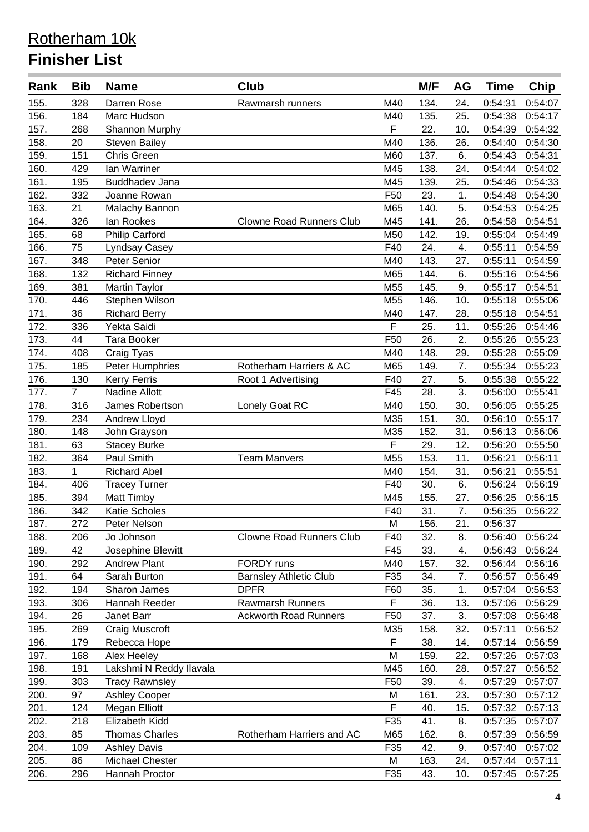| Rank | <b>Bib</b>     | <b>Name</b>             | <b>Club</b>                     |                 | M/F  | AG  | <b>Time</b> | <b>Chip</b> |
|------|----------------|-------------------------|---------------------------------|-----------------|------|-----|-------------|-------------|
| 155. | 328            | Darren Rose             | Rawmarsh runners                | M40             | 134. | 24. | 0:54:31     | 0:54:07     |
| 156. | 184            | Marc Hudson             |                                 | M40             | 135. | 25. | 0:54:38     | 0:54:17     |
| 157. | 268            | Shannon Murphy          |                                 | F               | 22.  | 10. | 0:54:39     | 0:54:32     |
| 158. | 20             | <b>Steven Bailey</b>    |                                 | M40             | 136. | 26. | 0:54:40     | 0:54:30     |
| 159. | 151            | Chris Green             |                                 | M60             | 137. | 6.  | 0:54:43     | 0:54:31     |
| 160. | 429            | Ian Warriner            |                                 | M45             | 138. | 24. | 0:54:44     | 0:54:02     |
| 161. | 195            | <b>Buddhadev Jana</b>   |                                 | M45             | 139. | 25. | 0:54:46     | 0:54:33     |
| 162. | 332            | Joanne Rowan            |                                 | F <sub>50</sub> | 23.  | 1.  | 0:54:48     | 0:54:30     |
| 163. | 21             | Malachy Bannon          |                                 | M65             | 140. | 5.  | 0:54:53     | 0:54:25     |
| 164. | 326            | lan Rookes              | <b>Clowne Road Runners Club</b> | M45             | 141. | 26. | 0:54:58     | 0:54:51     |
| 165. | 68             | <b>Philip Carford</b>   |                                 | M50             | 142. | 19. | 0:55:04     | 0:54:49     |
| 166. | 75             | Lyndsay Casey           |                                 | F40             | 24.  | 4.  | 0:55:11     | 0:54:59     |
| 167. | 348            | Peter Senior            |                                 | M40             | 143. | 27. | 0:55:11     | 0:54:59     |
| 168. | 132            | <b>Richard Finney</b>   |                                 | M65             | 144. | 6.  | 0:55:16     | 0:54:56     |
| 169. | 381            | Martin Taylor           |                                 | M55             | 145. | 9.  | 0:55:17     | 0:54:51     |
| 170. | 446            | Stephen Wilson          |                                 | M55             | 146. | 10. | 0:55:18     | 0:55:06     |
| 171. | 36             | <b>Richard Berry</b>    |                                 | M40             | 147. | 28. | 0:55:18     | 0:54:51     |
| 172. | 336            | Yekta Saidi             |                                 | F               | 25.  | 11. | 0:55:26     | 0:54:46     |
| 173. | 44             | <b>Tara Booker</b>      |                                 | F50             | 26.  | 2.  | 0:55:26     | 0:55:23     |
| 174. | 408            | Craig Tyas              |                                 | M40             | 148. | 29. | 0:55:28     | 0:55:09     |
| 175. | 185            | Peter Humphries         | Rotherham Harriers & AC         | M65             | 149. | 7.  | 0:55:34     | 0:55:23     |
| 176. | 130            | <b>Kerry Ferris</b>     | Root 1 Advertising              | F40             | 27.  | 5.  | 0.55:38     | 0:55:22     |
| 177. | $\overline{7}$ | Nadine Allott           |                                 | F45             | 28.  | 3.  | 0:56:00     | 0:55:41     |
| 178. | 316            | James Robertson         | Lonely Goat RC                  | M40             | 150. | 30. | 0:56:05     | 0:55:25     |
| 179. | 234            | Andrew Lloyd            |                                 | M35             | 151. | 30. | 0:56:10     | 0:55:17     |
| 180. | 148            | John Grayson            |                                 | M35             | 152. | 31. | 0:56:13     | 0:56:06     |
| 181. | 63             | <b>Stacey Burke</b>     |                                 | F               | 29.  | 12. | 0:56:20     | 0:55:50     |
| 182. | 364            | Paul Smith              | <b>Team Manvers</b>             | M55             | 153. | 11. | 0:56:21     | 0:56:11     |
| 183. | 1              | <b>Richard Abel</b>     |                                 | M40             | 154. | 31. | 0:56:21     | 0:55:51     |
| 184. | 406            | <b>Tracey Turner</b>    |                                 | F40             | 30.  | 6.  | 0:56:24     | 0:56:19     |
| 185. | 394            | Matt Timby              |                                 | M45             | 155. | 27. | 0:56:25     | 0:56:15     |
| 186. | 342            | <b>Katie Scholes</b>    |                                 | F40             | 31.  | 7.  | 0:56:35     | 0:56:22     |
| 187. | 272            | Peter Nelson            |                                 | ${\sf M}$       | 156. | 21. | 0:56:37     |             |
| 188. | 206            | Jo Johnson              | <b>Clowne Road Runners Club</b> | F40             | 32.  | 8.  | 0:56:40     | 0:56:24     |
| 189. | 42             | Josephine Blewitt       |                                 | F45             | 33.  | 4.  | 0:56:43     | 0:56:24     |
| 190. | 292            | <b>Andrew Plant</b>     | FORDY runs                      | M40             | 157. | 32. | 0:56:44     | 0:56:16     |
| 191. | 64             | Sarah Burton            | <b>Barnsley Athletic Club</b>   | F35             | 34.  | 7.  | 0:56:57     | 0:56:49     |
| 192. | 194            | Sharon James            | <b>DPFR</b>                     | F60             | 35.  | 1.  | 0:57:04     | 0:56:53     |
| 193. | 306            | Hannah Reeder           | <b>Rawmarsh Runners</b>         | F               | 36.  | 13. | 0:57:06     | 0:56:29     |
| 194. | 26             | Janet Barr              | <b>Ackworth Road Runners</b>    | F50             | 37.  | 3.  | 0:57:08     | 0:56:48     |
| 195. | 269            | Craig Muscroft          |                                 | M35             | 158. | 32. | 0:57:11     | 0:56:52     |
| 196. | 179            | Rebecca Hope            |                                 | F               | 38.  | 14. | 0:57:14     | 0:56:59     |
| 197. | 168            | Alex Heeley             |                                 | M               | 159. | 22. | 0:57:26     | 0:57:03     |
| 198. | 191            | Lakshmi N Reddy Ilavala |                                 | M45             | 160. | 28. | 0:57:27     | 0:56:52     |
| 199. | 303            | <b>Tracy Rawnsley</b>   |                                 | F <sub>50</sub> | 39.  | 4.  | 0:57:29     | 0:57:07     |
| 200. | 97             | <b>Ashley Cooper</b>    |                                 | M               | 161. | 23. | 0:57:30     | 0:57:12     |
| 201. | 124            | <b>Megan Elliott</b>    |                                 | F               | 40.  | 15. | 0:57:32     | 0:57:13     |
| 202. | 218            | Elizabeth Kidd          |                                 | F35             | 41.  | 8.  | 0:57:35     | 0:57:07     |
| 203. | 85             | <b>Thomas Charles</b>   | Rotherham Harriers and AC       | M65             | 162. | 8.  | 0:57:39     | 0:56:59     |
| 204. | 109            | <b>Ashley Davis</b>     |                                 | F35             | 42.  | 9.  | 0:57:40     | 0:57:02     |
| 205. | 86             | <b>Michael Chester</b>  |                                 | M               | 163. | 24. | 0:57:44     | 0:57:11     |
| 206. | 296            | Hannah Proctor          |                                 | F35             | 43.  | 10. | 0:57:45     | 0:57:25     |
|      |                |                         |                                 |                 |      |     |             |             |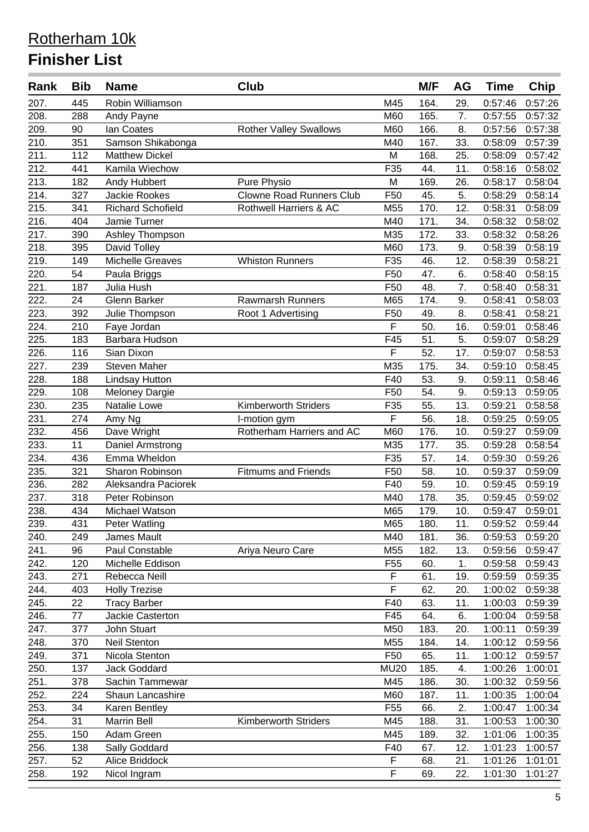| Rank | Bib | <b>Name</b>              | Club                            |                 | M/F  | AG  | <b>Time</b> | <b>Chip</b> |
|------|-----|--------------------------|---------------------------------|-----------------|------|-----|-------------|-------------|
| 207. | 445 | Robin Williamson         |                                 | M45             | 164. | 29. | 0:57:46     | 0:57:26     |
| 208. | 288 | Andy Payne               |                                 | M60             | 165. | 7.  | 0:57:55     | 0:57:32     |
| 209. | 90  | <b>lan Coates</b>        | <b>Rother Valley Swallows</b>   | M60             | 166. | 8.  | 0:57:56     | 0:57:38     |
| 210. | 351 | Samson Shikabonga        |                                 | M40             | 167. | 33. | 0:58:09     | 0:57:39     |
| 211. | 112 | <b>Matthew Dickel</b>    |                                 | M               | 168. | 25. | 0:58:09     | 0:57:42     |
| 212. | 441 | Kamila Wiechow           |                                 | F35             | 44.  | 11. | 0:58:16     | 0:58:02     |
| 213. | 182 | Andy Hubbert             | Pure Physio                     | M               | 169. | 26. | 0:58:17     | 0:58:04     |
| 214. | 327 | Jackie Rookes            | <b>Clowne Road Runners Club</b> | F50             | 45.  | 5.  | 0:58:29     | 0:58:14     |
| 215. | 341 | <b>Richard Schofield</b> | Rothwell Harriers & AC          | M55             | 170. | 12. | 0:58:31     | 0:58:09     |
| 216. | 404 | Jamie Turner             |                                 | M40             | 171. | 34. | 0:58:32     | 0:58:02     |
| 217. | 390 | Ashley Thompson          |                                 | M35             | 172. | 33. | 0:58:32     | 0:58:26     |
| 218. | 395 | David Tolley             |                                 | M60             | 173. | 9.  | 0:58:39     | 0:58:19     |
| 219. | 149 | <b>Michelle Greaves</b>  | <b>Whiston Runners</b>          | F35             | 46.  | 12. | 0:58:39     | 0:58:21     |
| 220. | 54  | Paula Briggs             |                                 | F50             | 47.  | 6.  | 0:58:40     | 0:58:15     |
| 221. | 187 | Julia Hush               |                                 | F50             | 48.  | 7.  | 0:58:40     | 0:58:31     |
| 222. | 24  | Glenn Barker             | <b>Rawmarsh Runners</b>         | M65             | 174. | 9.  | 0:58:41     | 0:58:03     |
| 223. | 392 | Julie Thompson           | Root 1 Advertising              | F50             | 49.  | 8.  | 0:58:41     | 0:58:21     |
| 224. | 210 | Faye Jordan              |                                 | F               | 50.  | 16. | 0:59:01     | 0:58:46     |
| 225. | 183 | Barbara Hudson           |                                 | F45             | 51.  | 5.  | 0:59:07     | 0:58:29     |
| 226. | 116 | Sian Dixon               |                                 | F               | 52.  | 17. | 0:59:07     | 0:58:53     |
| 227. | 239 | Steven Maher             |                                 | M35             | 175. | 34. | 0:59:10     | 0:58:45     |
| 228. | 188 | <b>Lindsay Hutton</b>    |                                 | F40             | 53.  | 9.  | 0:59:11     | 0:58:46     |
| 229. | 108 | <b>Meloney Dargie</b>    |                                 | F50             | 54.  | 9.  | 0:59:13     | 0:59:05     |
| 230. | 235 | Natalie Lowe             | Kimberworth Striders            | F35             | 55.  | 13. | 0:59:21     | 0:58:58     |
| 231. | 274 | Amy Ng                   | I-motion gym                    | F               | 56.  | 18. | 0:59:25     | 0:59:05     |
| 232. | 456 | Dave Wright              | Rotherham Harriers and AC       | M60             | 176. | 10. | 0:59:27     | 0:59:09     |
| 233. | 11  | Daniel Armstrong         |                                 | M35             | 177. | 35. | 0:59:28     | 0:58:54     |
| 234. | 436 | Emma Wheldon             |                                 | F35             | 57.  | 14. | 0:59:30     | 0:59:26     |
| 235. | 321 | Sharon Robinson          | <b>Fitmums and Friends</b>      | F50             | 58.  | 10. | 0:59:37     | 0:59:09     |
| 236. | 282 | Aleksandra Paciorek      |                                 | F40             | 59.  | 10. | 0:59:45     | 0:59:19     |
| 237. | 318 | Peter Robinson           |                                 | M40             | 178. | 35. | 0:59:45     | 0:59:02     |
| 238. | 434 | Michael Watson           |                                 | M65             | 179. | 10. | 0:59:47     | 0:59:01     |
| 239. | 431 | <b>Peter Watling</b>     |                                 | M65             | 180. | 11. | 0:59:52     | 0:59:44     |
| 240. | 249 | James Mault              |                                 | M40             | 181. | 36. | 0:59:53     | 0:59:20     |
| 241. | 96  | Paul Constable           | Ariya Neuro Care                | M55             | 182. | 13. | 0:59:56     | 0:59:47     |
| 242. | 120 | Michelle Eddison         |                                 | F <sub>55</sub> | 60.  | 1.  | 0:59:58     | 0:59:43     |
| 243. | 271 | Rebecca Neill            |                                 | $\overline{F}$  | 61.  | 19. | 0:59:59     | 0:59:35     |
| 244. | 403 | <b>Holly Trezise</b>     |                                 | F               | 62.  | 20. | 1:00:02     | 0:59:38     |
| 245. | 22  | <b>Tracy Barber</b>      |                                 | F40             | 63.  | 11. | 1:00:03     | 0:59:39     |
| 246. | 77  | <b>Jackie Casterton</b>  |                                 | F45             | 64.  | 6.  | 1:00:04     | 0:59:58     |
| 247. | 377 | John Stuart              |                                 | M50             | 183. | 20. | 1:00:11     | 0:59:39     |
| 248. | 370 | <b>Neil Stenton</b>      |                                 | M55             | 184. | 14. | 1:00:12     | 0:59:56     |
| 249. | 371 | Nicola Stenton           |                                 | F <sub>50</sub> | 65.  | 11. | 1:00:12     | 0:59:57     |
| 250. | 137 | <b>Jack Goddard</b>      |                                 | <b>MU20</b>     | 185. | 4.  | 1:00:26     | 1:00:01     |
| 251. | 378 | Sachin Tammewar          |                                 | M45             | 186. | 30. | 1:00:32     | 0:59:56     |
| 252. | 224 | Shaun Lancashire         |                                 | M60             | 187. | 11. | 1:00:35     | 1:00:04     |
| 253. | 34  | Karen Bentley            |                                 | F <sub>55</sub> | 66.  | 2.  | 1:00:47     | 1:00:34     |
| 254. | 31  | Marrin Bell              | <b>Kimberworth Striders</b>     | M45             | 188. | 31. | 1:00:53     | 1:00:30     |
| 255. | 150 | Adam Green               |                                 | M45             | 189. | 32. | 1:01:06     | 1:00:35     |
| 256. | 138 | Sally Goddard            |                                 | F40             | 67.  | 12. | 1:01:23     | 1:00:57     |
| 257. | 52  | Alice Briddock           |                                 | F               | 68.  | 21. | 1:01:26     | 1:01:01     |
| 258. | 192 | Nicol Ingram             |                                 | F               | 69.  | 22. | 1:01:30     | 1:01:27     |
|      |     |                          |                                 |                 |      |     |             |             |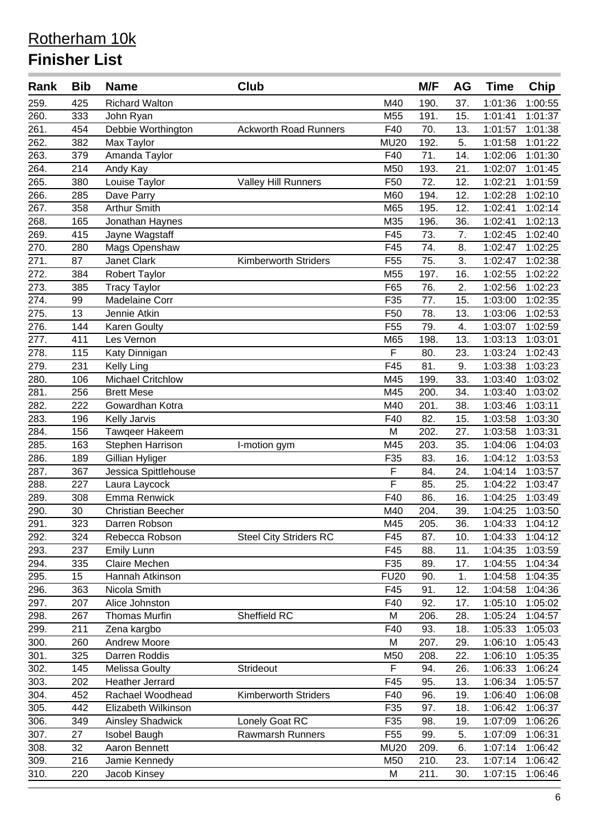| Rank | <b>Bib</b> | <b>Name</b>              | <b>Club</b>                   |                 | M/F  | AG  | <b>Time</b> | <b>Chip</b> |
|------|------------|--------------------------|-------------------------------|-----------------|------|-----|-------------|-------------|
| 259. | 425        | <b>Richard Walton</b>    |                               | M40             | 190. | 37. | 1:01:36     | 1:00:55     |
| 260. | 333        | John Ryan                |                               | M55             | 191. | 15. | 1:01:41     | 1:01:37     |
| 261. | 454        | Debbie Worthington       | <b>Ackworth Road Runners</b>  | F40             | 70.  | 13. | 1:01:57     | 1:01:38     |
| 262. | 382        | Max Taylor               |                               | <b>MU20</b>     | 192. | 5.  | 1:01:58     | 1:01:22     |
| 263. | 379        | Amanda Taylor            |                               | F40             | 71.  | 14. | 1:02:06     | 1:01:30     |
| 264. | 214        | Andy Kay                 |                               | M50             | 193. | 21. | 1:02:07     | 1:01:45     |
| 265. | 380        | Louise Taylor            | <b>Valley Hill Runners</b>    | F <sub>50</sub> | 72.  | 12. | 1:02:21     | 1:01:59     |
| 266. | 285        | Dave Parry               |                               | M60             | 194. | 12. | 1:02:28     | 1:02:10     |
| 267. | 358        | <b>Arthur Smith</b>      |                               | M65             | 195. | 12. | 1:02:41     | 1:02:14     |
| 268. | 165        | Jonathan Haynes          |                               | M35             | 196. | 36. | 1:02:41     | 1:02:13     |
| 269. | 415        | Jayne Wagstaff           |                               | F45             | 73.  | 7.  | 1:02:45     | 1:02:40     |
| 270. | 280        | Mags Openshaw            |                               | F45             | 74.  | 8.  | 1:02:47     | 1:02:25     |
| 271. | 87         | Janet Clark              | Kimberworth Striders          | F <sub>55</sub> | 75.  | 3.  | 1:02:47     | 1:02:38     |
| 272. | 384        | Robert Taylor            |                               | M55             | 197. | 16. | 1:02:55     | 1:02:22     |
| 273. | 385        | <b>Tracy Taylor</b>      |                               | F65             | 76.  | 2.  | 1:02:56     | 1:02:23     |
| 274. | 99         | <b>Madelaine Corr</b>    |                               | F35             | 77.  | 15. | 1:03:00     | 1:02:35     |
| 275. | 13         | Jennie Atkin             |                               | F50             | 78.  | 13. | 1:03:06     | 1:02:53     |
| 276. | 144        | <b>Karen Goulty</b>      |                               | F <sub>55</sub> | 79.  | 4.  | 1:03:07     | 1:02:59     |
| 277. | 411        | Les Vernon               |                               | M65             | 198. | 13. | 1:03:13     | 1:03:01     |
| 278. | 115        | Katy Dinnigan            |                               | F               | 80.  | 23. | 1:03:24     | 1:02:43     |
| 279. | 231        | <b>Kelly Ling</b>        |                               | F45             | 81.  | 9.  | 1:03:38     | 1:03:23     |
| 280. | 106        | <b>Michael Critchlow</b> |                               | M45             | 199. | 33. | 1:03:40     | 1:03:02     |
| 281. | 256        | <b>Brett Mese</b>        |                               | M45             | 200. | 34. | 1:03:40     | 1:03:02     |
| 282. | 222        | Gowardhan Kotra          |                               | M40             | 201. | 38. | 1:03:46     | 1:03:11     |
| 283. | 196        | Kelly Jarvis             |                               | F40             | 82.  | 15. | 1:03:58     | 1:03:30     |
| 284. | 156        | Tawqeer Hakeem           |                               | M               | 202. | 27. | 1:03:58     | 1:03:31     |
| 285. | 163        | Stephen Harrison         | I-motion gym                  | M45             | 203. | 35. | 1:04:06     | 1:04:03     |
| 286. | 189        | Gillian Hyliger          |                               | F35             | 83.  | 16. | 1:04:12     | 1:03:53     |
| 287. | 367        | Jessica Spittlehouse     |                               | F               | 84.  | 24. | 1:04:14     | 1:03:57     |
| 288. | 227        | Laura Laycock            |                               | F               | 85.  | 25. | 1:04:22     | 1:03:47     |
| 289. | 308        | Emma Renwick             |                               | F40             | 86.  | 16. | 1:04:25     | 1:03:49     |
| 290. | 30         | <b>Christian Beecher</b> |                               | M40             | 204. | 39. | 1:04:25     | 1:03:50     |
| 291. | 323        | Darren Robson            |                               | M45             | 205. | 36. | 1:04:33     | 1:04:12     |
| 292. | 324        | Rebecca Robson           | <b>Steel City Striders RC</b> | F45             | 87.  | 10. | 1:04:33     | 1:04:12     |
| 293. | 237        | Emily Lunn               |                               | F45             | 88.  | 11. | 1:04:35     | 1:03:59     |
| 294. | 335        | Claire Mechen            |                               | F35             | 89.  | 17. | 1:04:55     | 1:04:34     |
| 295. | 15         | Hannah Atkinson          |                               | <b>FU20</b>     | 90.  | 1.  | 1:04:58     | 1:04:35     |
| 296. | 363        | Nicola Smith             |                               | F45             | 91.  | 12. | 1:04:58     | 1:04:36     |
| 297. | 207        | Alice Johnston           |                               | F40             | 92.  | 17. | 1:05:10     | 1:05:02     |
| 298. | 267        | <b>Thomas Murfin</b>     | Sheffield RC                  | M               | 206. | 28. | 1:05:24     | 1:04:57     |
| 299. | 211        | Zena kargbo              |                               | F40             | 93.  | 18. | 1:05:33     | 1:05:03     |
| 300. | 260        | <b>Andrew Moore</b>      |                               | M               | 207. | 29. | 1:06:10     | 1:05:43     |
| 301. | 325        | Darren Roddis            |                               | M50             | 208. | 22. | 1:06:10     | 1:05:35     |
| 302. | 145        | <b>Melissa Goulty</b>    | Strideout                     | F               | 94.  | 26. | 1:06:33     | 1:06:24     |
| 303. | 202        | <b>Heather Jerrard</b>   |                               | F45             | 95.  | 13. | 1:06:34     | 1:05:57     |
| 304. | 452        | Rachael Woodhead         | <b>Kimberworth Striders</b>   | F40             | 96.  | 19. | 1:06:40     | 1:06:08     |
| 305. | 442        | Elizabeth Wilkinson      |                               | F35             | 97.  | 18. | 1:06:42     | 1:06:37     |
| 306. | 349        | <b>Ainsley Shadwick</b>  | Lonely Goat RC                | F35             | 98.  | 19. | 1:07:09     | 1:06:26     |
| 307. | 27         | Isobel Baugh             | <b>Rawmarsh Runners</b>       | F <sub>55</sub> | 99.  | 5.  | 1:07:09     | 1:06:31     |
| 308. | 32         | Aaron Bennett            |                               | <b>MU20</b>     | 209. | 6.  | 1:07:14     | 1:06:42     |
| 309. | 216        | Jamie Kennedy            |                               | M50             | 210. | 23. | 1:07:14     | 1:06:42     |
| 310. | 220        | Jacob Kinsey             |                               | M               | 211. | 30. | 1:07:15     | 1:06:46     |
|      |            |                          |                               |                 |      |     |             |             |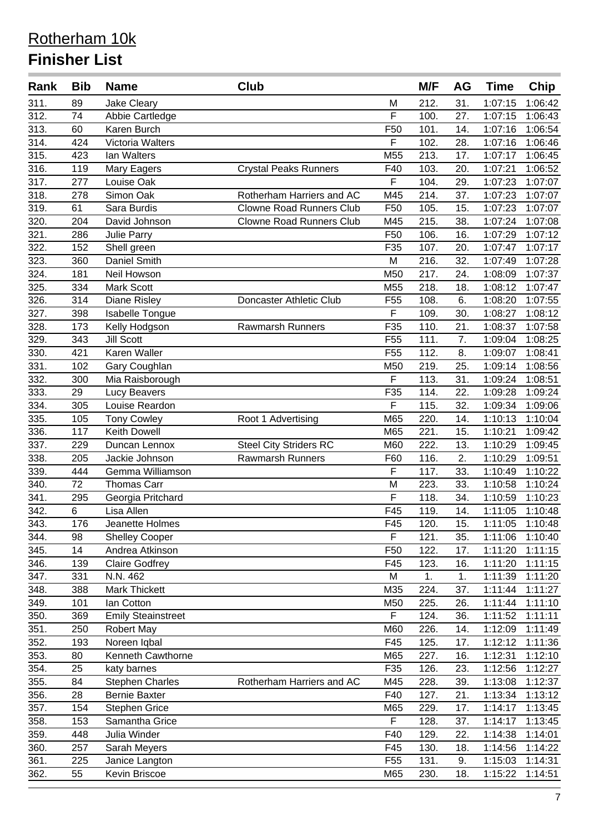| Rank               | <b>Bib</b> | <b>Name</b>                            | Club                            |                         | M/F          | AG         | <b>Time</b>        | Chip               |
|--------------------|------------|----------------------------------------|---------------------------------|-------------------------|--------------|------------|--------------------|--------------------|
| 311.               | 89         | <b>Jake Cleary</b>                     |                                 | M                       | 212.         | 31.        | 1:07:15            | 1:06:42            |
| 312.               | 74         | Abbie Cartledge                        |                                 | F                       | 100.         | 27.        | 1:07:15            | 1:06:43            |
| 313.               | 60         | Karen Burch                            |                                 | F50                     | 101.         | 14.        | 1:07:16            | 1:06:54            |
| 314.               | 424        | Victoria Walters                       |                                 | $\overline{\mathsf{F}}$ | 102.         | 28.        | 1:07:16            | 1:06:46            |
| 315.               | 423        | Ian Walters                            |                                 | M55                     | 213.         | 17.        | 1:07:17            | 1:06:45            |
| 316.               | 119        | Mary Eagers                            | <b>Crystal Peaks Runners</b>    | F40                     | 103.         | 20.        | 1:07:21            | 1:06:52            |
| 317.               | 277        | Louise Oak                             |                                 | F                       | 104.         | 29.        | 1:07:23            | 1:07:07            |
| 318.               | 278        | Simon Oak                              | Rotherham Harriers and AC       | M45                     | 214.         | 37.        | 1:07:23            | 1:07:07            |
| 319.               | 61         | Sara Burdis                            | <b>Clowne Road Runners Club</b> | F <sub>50</sub>         | 105.         | 15.        | 1:07:23            | 1:07:07            |
| 320.               | 204        | David Johnson                          | <b>Clowne Road Runners Club</b> | M45                     | 215.         | 38.        | 1:07:24            | 1:07:08            |
| 321.               | 286        | <b>Julie Parry</b>                     |                                 | F50                     | 106.         | 16.        | 1:07:29            | 1:07:12            |
| 322.               | 152        | Shell green                            |                                 | F35                     | 107.         | 20.        | 1:07:47            | 1:07:17            |
| 323.               | 360        | Daniel Smith                           |                                 | M                       | 216.         | 32.        | 1:07:49            | 1:07:28            |
| 324.               | 181        | Neil Howson                            |                                 | M50                     | 217.         | 24.        | 1:08:09            | 1:07:37            |
| 325.               | 334        | Mark Scott                             |                                 | M55                     | 218.         | 18.        | 1:08:12            | 1:07:47            |
| 326.               | 314        | <b>Diane Risley</b>                    | Doncaster Athletic Club         | F <sub>55</sub>         | 108.         | 6.         | 1:08:20            | 1:07:55            |
| 327.               | 398        | <b>Isabelle Tongue</b>                 |                                 | F                       | 109.         | 30.        | 1:08:27            | 1:08:12            |
| 328.               | 173        | Kelly Hodgson                          | <b>Rawmarsh Runners</b>         | F35                     | 110.         | 21.        | 1:08:37            | 1:07:58            |
| 329.               | 343        | <b>Jill Scott</b>                      |                                 | F <sub>55</sub>         | 111.         | 7.         | 1:09:04            | 1:08:25            |
| 330.               | 421        | Karen Waller                           |                                 | F <sub>55</sub>         | 112.         | 8.         | 1:09:07            | 1:08:41            |
| 331.               | 102        | Gary Coughlan                          |                                 | M50                     | 219.         | 25.        | 1:09:14            | 1:08:56            |
| 332.               | 300        | Mia Raisborough                        |                                 | F                       | 113.         | 31.        | 1:09:24            | 1:08:51            |
| 333.               | 29         | Lucy Beavers                           |                                 | F35                     | 114.         | 22.        | 1:09:28            | 1:09:24            |
| 334.               | 305        | Louise Reardon                         |                                 | $\overline{\mathsf{F}}$ | 115.         | 32.        | 1:09:34            | 1:09:06            |
| 335.               | 105        | <b>Tony Cowley</b>                     | Root 1 Advertising              | M65                     | 220.         | 14.        | 1:10:13            | 1:10:04            |
| 336.               | 117        | Keith Dowell                           |                                 | M65                     | 221.         | 15.        | 1:10:21            | 1:09:42            |
| 337.               | 229        | Duncan Lennox                          | <b>Steel City Striders RC</b>   | M60                     | 222.         | 13.        | 1:10:29            | 1:09:45            |
| 338.               | 205        | Jackie Johnson                         | Rawmarsh Runners                | F60                     | 116.         | 2.         | 1:10:29            | 1:09:51            |
| 339.               | 444        | Gemma Williamson                       |                                 | F                       | 117.         | 33.        | 1:10:49            | 1:10:22            |
| 340.               | 72         | <b>Thomas Carr</b>                     |                                 | M                       | 223.         | 33.        | 1:10:58            | 1:10:24            |
| 341.               | 295        | Georgia Pritchard                      |                                 | F                       | 118.         | 34.        | 1:10:59            | 1:10:23            |
| 342.               | 6          | Lisa Allen                             |                                 | F45                     | 119.         | 14.        | 1:11:05            | 1:10:48            |
| $\overline{343}$ . | 176        | Jeanette Holmes                        |                                 | F45                     | 120.         | 15.        |                    | 1:11:05 1:10:48    |
| 344.               | 98         | <b>Shelley Cooper</b>                  |                                 | F                       | 121.         | 35.        | 1:11:06            | 1:10:40            |
| 345.               | 14         | Andrea Atkinson                        |                                 | F50                     | 122.         | 17.        | 1:11:20            | 1:11:15            |
| 346.               | 139        | <b>Claire Godfrey</b>                  |                                 | F45                     | 123.         | 16.        | 1:11:20            | 1:11:15            |
| 347.               | 331        | N.N. 462                               |                                 | M                       | 1.           | 1.         | 1:11:39            | 1:11:20            |
| 348.               | 388        | Mark Thickett                          |                                 | M35                     | 224.         | 37.        | 1:11:44            | 1:11:27            |
| 349.               | 101        | Ian Cotton                             |                                 | M50                     | 225.         | 26.        | 1:11:44            | 1:11:10            |
| 350.               | 369        | <b>Emily Steainstreet</b>              |                                 | F                       | 124.         | 36.        | 1:11:52            | 1:11:11            |
| 351.               | 250        | <b>Robert May</b>                      |                                 | M60                     | 226.         | 14.        | 1:12:09            | 1:11:49            |
| 352.               | 193        | Noreen Iqbal                           |                                 | F45                     | 125.         | 17.        | 1:12:12            | 1:11:36            |
| 353.               | 80         | Kenneth Cawthorne                      |                                 | M65                     | 227.         | 16.        | 1:12:31            | 1:12:10            |
| 354.               | 25         |                                        |                                 | F35                     | 126.         | 23.        | 1:12:56            | 1:12:27            |
| 355.               | 84         | katy barnes<br><b>Stephen Charles</b>  | Rotherham Harriers and AC       | M45                     | 228.         | 39.        | 1:13:08            | 1:12:37            |
| 356.               | 28         | <b>Bernie Baxter</b>                   |                                 | F40                     | 127.         | 21.        | 1:13:34            | 1:13:12            |
|                    |            |                                        |                                 |                         |              |            |                    |                    |
| 357.<br>358.       | 154<br>153 | <b>Stephen Grice</b><br>Samantha Grice |                                 | M65<br>F                | 229.<br>128. | 17.<br>37. | 1:14:17<br>1:14:17 | 1:13:45<br>1:13:45 |
| 359.               | 448        | Julia Winder                           |                                 | F40                     | 129.         |            | 1:14:38            | 1:14:01            |
|                    | 257        |                                        |                                 | F45                     | 130.         | 22.<br>18. |                    |                    |
| 360.               |            | Sarah Meyers                           |                                 |                         |              |            | 1:14:56            | 1:14:22            |
| 361.               | 225        | Janice Langton                         |                                 | F <sub>55</sub>         | 131.         | 9.         | 1:15:03            | 1:14:31            |
| 362.               | 55         | Kevin Briscoe                          |                                 | M65                     | 230.         | 18.        | 1:15:22            | 1:14:51            |